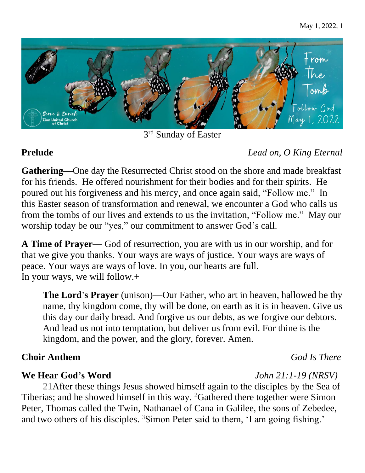

3<sup>rd</sup> Sunday of Easter

# **Prelude** *Lead on, O King Eternal*

**Gathering—**One day the Resurrected Christ stood on the shore and made breakfast for his friends. He offered nourishment for their bodies and for their spirits. He poured out his forgiveness and his mercy, and once again said, "Follow me." In this Easter season of transformation and renewal, we encounter a God who calls us from the tombs of our lives and extends to us the invitation, "Follow me." May our worship today be our "yes," our commitment to answer God's call.

**A Time of Prayer—** God of resurrection, you are with us in our worship, and for that we give you thanks. Your ways are ways of justice. Your ways are ways of peace. Your ways are ways of love. In you, our hearts are full. In your ways, we will follow.+

**The Lord's Prayer** (unison)—Our Father, who art in heaven, hallowed be thy name, thy kingdom come, thy will be done, on earth as it is in heaven. Give us this day our daily bread. And forgive us our debts, as we forgive our debtors. And lead us not into temptation, but deliver us from evil. For thine is the kingdom, and the power, and the glory, forever. Amen.

## **Choir Anthem** *God Is There*

## **We Hear God's Word** *John 21:1-19 (NRSV)*

21After these things Jesus showed himself again to the disciples by the Sea of Tiberias; and he showed himself in this way. <sup>2</sup>Gathered there together were Simon Peter, Thomas called the Twin, Nathanael of Cana in Galilee, the sons of Zebedee, and two others of his disciples. <sup>3</sup>Simon Peter said to them, 'I am going fishing.'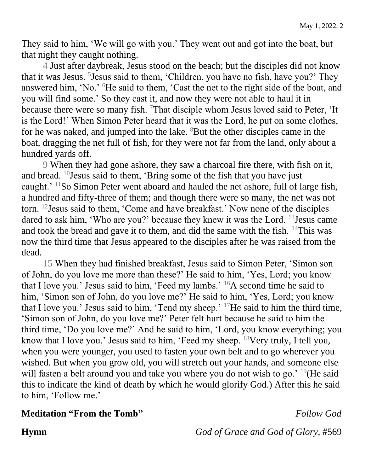They said to him, 'We will go with you.' They went out and got into the boat, but that night they caught nothing.

4 Just after daybreak, Jesus stood on the beach; but the disciples did not know that it was Jesus. <sup>5</sup> Jesus said to them, 'Children, you have no fish, have you?' They answered him, 'No.' <sup>6</sup>He said to them, 'Cast the net to the right side of the boat, and you will find some.' So they cast it, and now they were not able to haul it in because there were so many fish. <sup>7</sup>That disciple whom Jesus loved said to Peter, 'It is the Lord!' When Simon Peter heard that it was the Lord, he put on some clothes, for he was naked, and jumped into the lake.  ${}^{8}$ But the other disciples came in the boat, dragging the net full of fish, for they were not far from the land, only about a hundred yards off.

9 When they had gone ashore, they saw a charcoal fire there, with fish on it, and bread. <sup>10</sup>Jesus said to them, 'Bring some of the fish that you have just caught.' <sup>11</sup>So Simon Peter went aboard and hauled the net ashore, full of large fish, a hundred and fifty-three of them; and though there were so many, the net was not torn. <sup>12</sup>Jesus said to them, 'Come and have breakfast.' Now none of the disciples dared to ask him, 'Who are you?' because they knew it was the Lord. <sup>13</sup>Jesus came and took the bread and gave it to them, and did the same with the fish.  $14$ This was now the third time that Jesus appeared to the disciples after he was raised from the dead.

15 When they had finished breakfast, Jesus said to Simon Peter, 'Simon son of John, do you love me more than these?' He said to him, 'Yes, Lord; you know that I love you.' Jesus said to him, 'Feed my lambs.' <sup>16</sup>A second time he said to him, 'Simon son of John, do you love me?' He said to him, 'Yes, Lord; you know that I love you.' Jesus said to him, 'Tend my sheep.' <sup>17</sup>He said to him the third time, 'Simon son of John, do you love me?' Peter felt hurt because he said to him the third time, 'Do you love me?' And he said to him, 'Lord, you know everything; you know that I love you.' Jesus said to him, 'Feed my sheep. <sup>18</sup>Very truly, I tell you, when you were younger, you used to fasten your own belt and to go wherever you wished. But when you grow old, you will stretch out your hands, and someone else will fasten a belt around you and take you where you do not wish to go.' <sup>19</sup>(He said this to indicate the kind of death by which he would glorify God.) After this he said to him, 'Follow me.'

### **Meditation "From the Tomb"** *Follow God*

**Hymn** *God of Grace and God of Glory,* #569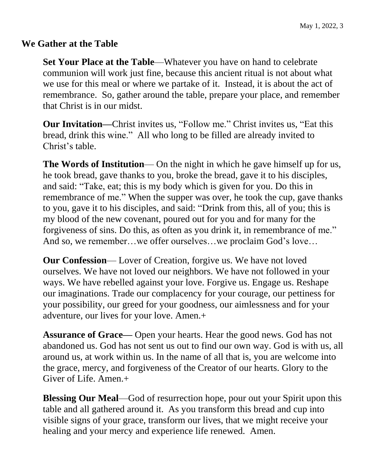### **We Gather at the Table**

**Set Your Place at the Table**—Whatever you have on hand to celebrate communion will work just fine, because this ancient ritual is not about what we use for this meal or where we partake of it. Instead, it is about the act of remembrance. So, gather around the table, prepare your place, and remember that Christ is in our midst.

**Our Invitation—Christ invites us, "Follow me." Christ invites us, "Eat this** bread, drink this wine." All who long to be filled are already invited to Christ's table.

**The Words of Institution**— On the night in which he gave himself up for us, he took bread, gave thanks to you, broke the bread, gave it to his disciples, and said: "Take, eat; this is my body which is given for you. Do this in remembrance of me." When the supper was over, he took the cup, gave thanks to you, gave it to his disciples, and said: "Drink from this, all of you; this is my blood of the new covenant, poured out for you and for many for the forgiveness of sins. Do this, as often as you drink it, in remembrance of me." And so, we remember…we offer ourselves…we proclaim God's love…

**Our Confession**— Lover of Creation, forgive us. We have not loved ourselves. We have not loved our neighbors. We have not followed in your ways. We have rebelled against your love. Forgive us. Engage us. Reshape our imaginations. Trade our complacency for your courage, our pettiness for your possibility, our greed for your goodness, our aimlessness and for your adventure, our lives for your love. Amen.+

**Assurance of Grace—** Open your hearts. Hear the good news. God has not abandoned us. God has not sent us out to find our own way. God is with us, all around us, at work within us. In the name of all that is, you are welcome into the grace, mercy, and forgiveness of the Creator of our hearts. Glory to the Giver of Life. Amen.+

**Blessing Our Meal**—God of resurrection hope, pour out your Spirit upon this table and all gathered around it. As you transform this bread and cup into visible signs of your grace, transform our lives, that we might receive your healing and your mercy and experience life renewed. Amen.